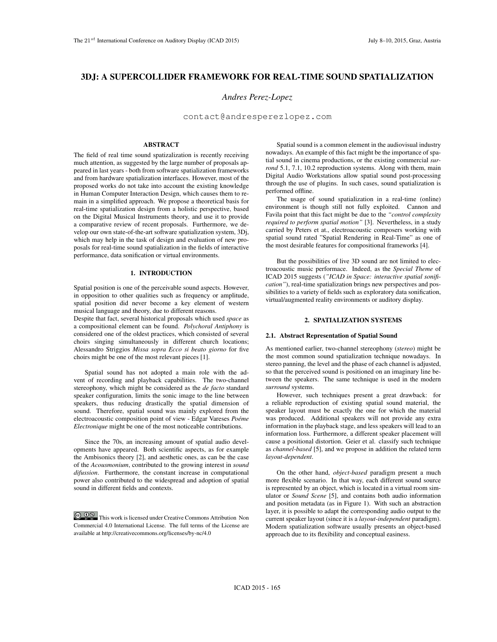# 3DJ: A SUPERCOLLIDER FRAMEWORK FOR REAL-TIME SOUND SPATIALIZATION

# *Andres Perez-Lopez*

contact@andresperezlopez.com

### ABSTRACT

The field of real time sound spatizalization is recently receiving much attention, as suggested by the large number of proposals appeared in last years - both from software spatialization frameworks and from hardware spatialization interfaces. However, most of the proposed works do not take into account the existing knowledge in Human Computer Interaction Design, which causes them to remain in a simplified approach. We propose a theoretical basis for real-time spatialization design from a holistic perspective, based on the Digital Musical Instruments theory, and use it to provide a comparative review of recent proposals. Furthermore, we develop our own state-of-the-art software spatialization system, 3Dj, which may help in the task of design and evaluation of new proposals for real-time sound spatialization in the fields of interactive performance, data sonification or virtual environments. **Statement Conference on AudiTory Display (ICAD 2015)** July 11, A **SUPERCOLLIDER FRAMISWORK FOR REAL-TIME SOUND SPATIAL**<br>
3.1. A SUPERCOLLIDER FRAMISWORK FOR REAL-TIME SOUND SPATIAL<br>
And/ore *Freez-Lopez*, correlation in

#### 1. INTRODUCTION

Spatial position is one of the perceivable sound aspects. However, in opposition to other qualities such as frequency or amplitude, spatial position did never become a key element of western musical language and theory, due to different reasons.

Despite that fact, several historical proposals which used *space* as a compositional element can be found. *Polychoral Antiphony* is considered one of the oldest practices, which consisted of several choirs singing simultaneously in different church locations; Alessandro Striggios *Missa sopra Ecco si beato giorno* for five choirs might be one of the most relevant pieces [1].

Spatial sound has not adopted a main role with the advent of recording and playback capabilities. The two-channel stereophony, which might be considered as the *de facto* standard speaker configuration, limits the sonic image to the line between speakers, thus reducing drastically the spatial dimension of sound. Therefore, spatial sound was mainly explored from the electroacoustic composition point of view - Edgar Vareses *Poéme Electronique* might be one of the most noticeable contributions.

Since the 70s, an increasing amount of spatial audio developments have appeared. Both scientific aspects, as for example the Ambisonics theory [2], and aesthetic ones, as can be the case of the *Acousmonium*, contributed to the growing interest in *sound difussion*. Furthermore, the constant increase in computational power also contributed to the widespread and adoption of spatial sound in different fields and contexts.

**CO**  $\overline{Q}$   $\overline{Q}$  This work is licensed under Creative Commons Attribution Non Commercial 4.0 International License. The full terms of the License are available at http://creativecommons.org/licenses/by-nc/4.0

Spatial sound is a common element in the audiovisual industry nowadays. An example of this fact might be the importance of spatial sound in cinema productions, or the existing commercial *surrond* 5.1, 7.1, 10.2 reproduction systems. Along with them, main Digital Audio Workstations allow spatial sound post-processing through the use of plugins. In such cases, sound spatialization is performed offline.

The usage of sound spatialization in a real-time (online) environment is though still not fully exploited. Cannon and Favila point that this fact might be due to the *"control complexity required to perform spatial motion"* [3]. Nevertheless, in a study carried by Peters et at., electroacoustic composers working with spatial sound rated "Spatial Rendering in Real-Time" as one of the most desirable features for compositional frameworks [4].

But the possibilities of live 3D sound are not limited to electroacoustic music performace. Indeed, as the *Special Theme* of ICAD 2015 suggests (*"ICAD in Space: interactive spatial sonification"*), real-time spatialization brings new perspectives and possibilities to a variety of fields such as exploratory data sonification, virtual/augmented reality environments or auditory display.

### 2. SPATIALIZATION SYSTEMS

### 2.1. Abstract Representation of Spatial Sound

As mentioned earlier, two-channel stereophony (*stereo*) might be the most common sound spatialization technique nowadays. In stereo panning, the level and the phase of each channel is adjusted, so that the perceived sound is positioned on an imaginary line between the speakers. The same technique is used in the modern *surround* systems.

However, such techniques present a great drawback: for a reliable reproduction of existing spatial sound material, the speaker layout must be exactly the one for which the material was produced. Additional speakers will not provide any extra information in the playback stage, and less speakers will lead to an information loss. Furthermore, a different speaker placement will cause a positional distortion. Geier et al. classify such technique as *channel-based* [5], and we propose in addition the related term *layout-dependent*.

On the other hand, *object-based* paradigm present a much more flexible scenario. In that way, each different sound source is represented by an object, which is located in a virtual room simulator or *Sound Scene* [5], and contains both audio information and position metadata (as in Figure 1). With such an abstraction layer, it is possible to adapt the corresponding audio output to the current speaker layout (since it is a *layout-independent* paradigm). Modern spatialization software usually presents an object-based approach due to its flexibility and conceptual easiness.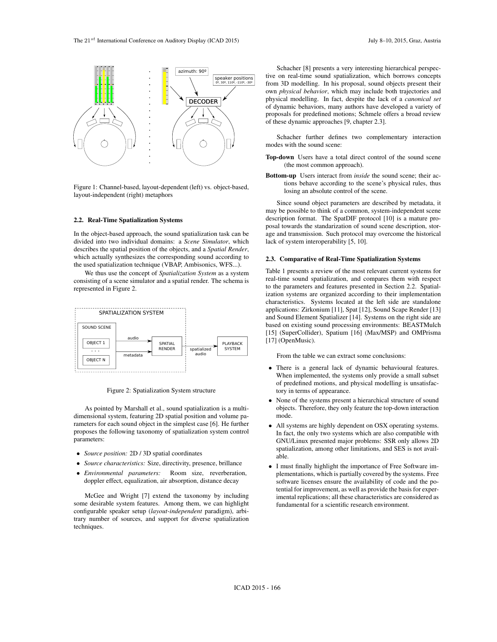

Figure 1: Channel-based, layout-dependent (left) vs. object-based, layout-independent (right) metaphors

### 2.2. Real-Time Spatialization Systems

In the object-based approach, the sound spatialization task can be divided into two individual domains: a *Scene Simulator*, which describes the spatial position of the objects, and a *Spatial Render*, which actually synthesizes the corresponding sound according to the used spatialization technique (VBAP, Ambisonics, WFS...).

We thus use the concept of *Spatialization System* as a system consisting of a scene simulator and a spatial render. The schema is represented in Figure 2.



Figure 2: Spatialization System structure

As pointed by Marshall et al., sound spatialization is a multidimensional system, featuring 2D spatial position and volume parameters for each sound object in the simplest case [6]. He further proposes the following taxonomy of spatialization system control parameters:

- *• Source position:* 2D / 3D spatial coordinates
- *• Source characteristics:* Size, directivity, presence, brillance
- *• Environmental parameters:* Room size, reverberation, doppler effect, equalization, air absorption, distance decay

McGee and Wright [7] extend the taxonomy by including some desirable system features. Among them, we can highlight configurable speaker setup (*layout-independent* paradigm), arbitrary number of sources, and support for diverse spatialization techniques.

Schacher [8] presents a very interesting hierarchical perspective on real-time sound spatialization, which borrows concepts from 3D modelling. In his proposal, sound objects present their own *physical behavior*, which may include both trajectories and physical modelling. In fact, despite the lack of a *canonical set* of dynamic behaviors, many authors have developed a variety of proposals for predefined motions; Schmele offers a broad review of these dynamic approaches [9, chapter 2.3].

Schacher further defines two complementary interaction modes with the sound scene:

- Top-down Users have a total direct control of the sound scene (the most common approach).
- Bottom-up Users interact from *inside* the sound scene; their actions behave according to the scene's physical rules, thus losing an absolute control of the scene.

Since sound object parameters are described by metadata, it may be possible to think of a common, system-independent scene description format. The SpatDIF protocol [10] is a mature proposal towards the standarization of sound scene description, storage and transmission. Such protocol may overcome the historical lack of system interoperability [5, 10].

### 2.3. Comparative of Real-Time Spatialization Systems

Table 1 presents a review of the most relevant current systems for real-time sound spatialization, and compares them with respect to the parameters and features presented in Section 2.2. Spatialization systems are organized according to their implementation characteristics. Systems located at the left side are standalone applications: Zirkonium [11], Spat [12], Sound Scape Render [13] and Sound Element Spatializer [14]. Systems on the right side are based on existing sound processing environments: BEASTMulch [15] (SuperCollider), Spatium [16] (Max/MSP) and OMPrisma [17] (OpenMusic).

From the table we can extract some conclusions:

- *•* There is a general lack of dynamic behavioural features. When implemented, the systems only provide a small subset of predefined motions, and physical modelling is unsatisfactory in terms of appearance.
- *•* None of the systems present a hierarchical structure of sound objects. Therefore, they only feature the top-down interaction mode.
- All systems are highly dependent on OSX operating systems. In fact, the only two systems which are also compatible with GNU/Linux presented major problems: SSR only allows 2D spatialization, among other limitations, and SES is not available.
- *•* I must finally highlight the importance of Free Software implementations, which is partially covered by the systems. Free software licenses ensure the availability of code and the potential for improvement, as well as provide the basis for experimental replications; all these characteristics are considered as fundamental for a scientific research environment.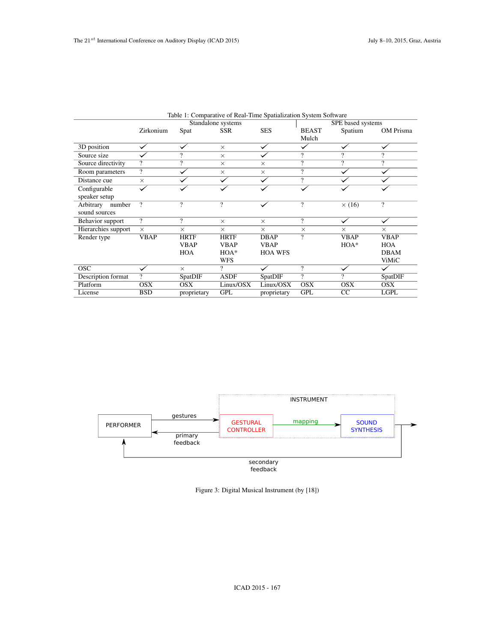|                                   |                          |                          | Table 1: Comparative of Real-Time Spatialization System Software |                       |                          |                                  |                               |
|-----------------------------------|--------------------------|--------------------------|------------------------------------------------------------------|-----------------------|--------------------------|----------------------------------|-------------------------------|
|                                   | Zirkonium                | Spat                     | Standalone systems<br><b>SSR</b>                                 | <b>SES</b>            | <b>BEAST</b><br>Mulch    | SPE based systems<br>Spatium     | OM Prisma                     |
| 3D position                       | $\checkmark$             | $\checkmark$             | $\times$                                                         | ✓                     | $\checkmark$             | $\checkmark$                     |                               |
| Source size                       | $\checkmark$             | $\overline{\mathcal{L}}$ | $\times$                                                         |                       | $\overline{\cdot}$       | $\overline{\mathcal{L}}$         | $\overline{?}$                |
| Source directivity                | $\overline{?}$           | $\overline{?}$           | $\times$                                                         | $\times$              | $\overline{?}$           | $\overline{?}$                   | $\overline{?}$                |
| Room parameters                   | $\overline{?}$           | $\checkmark$             | $\times$                                                         | $\times$              | $\overline{?}$           | $\checkmark$                     | $\checkmark$                  |
| Distance cue                      | $\times$                 |                          |                                                                  |                       | $\overline{\mathcal{E}}$ |                                  |                               |
| Configurable<br>speaker setup     |                          |                          |                                                                  |                       |                          |                                  |                               |
| Arbitrary number<br>sound sources | $\overline{?}$           | $\overline{?}$           | $\boldsymbol{\mathcal{P}}$                                       |                       | $\overline{?}$           | $\times$ (16)                    | $\overline{?}$                |
| Behavior support                  | $\overline{?}$           | $\overline{?}$           | $\times$                                                         | $\times$              | $\overline{?}$           | ✓                                | ✓                             |
| Hierarchies support               | $\times$                 | $\times$                 | $\times$                                                         | $\times$              | $\times$                 | $\times$                         | $\times$                      |
| Render type                       | <b>VBAP</b>              | <b>HRTF</b>              | <b>HRTF</b>                                                      | <b>DBAP</b>           | $\overline{?}$           | <b>VBAP</b>                      | <b>VBAP</b>                   |
|                                   |                          | <b>VBAP</b>              | <b>VBAP</b>                                                      | <b>VBAP</b>           |                          | $\rm HOA^*$                      | HOA                           |
|                                   |                          | HOA                      | $HOA^*$                                                          | <b>HOA WFS</b>        |                          |                                  | <b>DBAM</b>                   |
| $\overline{OSC}$                  | ✓                        | $\times$                 | <b>WFS</b><br>$\overline{?}$                                     | $\checkmark$          | $\overline{?}$           | $\checkmark$                     | ViMiC<br>$\blacktriangledown$ |
| <b>Description format</b>         | $\overline{\mathcal{E}}$ | <b>SpatDIF</b>           | <b>ASDF</b>                                                      | <b>SpatDIF</b>        | $\overline{?}$           | $\overline{?}$                   | <b>SpatDIF</b>                |
| Platform                          | <b>OSX</b>               | <b>OSX</b>               | Linux/OSX                                                        | Linux/OSX             | <b>OSX</b>               | <b>OSX</b>                       | $\overline{OSX}$              |
| License                           | <b>BSD</b>               | proprietary              | GPL                                                              | proprietary           | GPL                      | $\overline{CC}$                  | LGPL                          |
|                                   |                          |                          |                                                                  |                       |                          |                                  |                               |
|                                   |                          |                          |                                                                  |                       |                          |                                  |                               |
|                                   |                          |                          |                                                                  |                       | <b>INSTRUMENT</b>        |                                  |                               |
|                                   |                          | gestures                 |                                                                  |                       |                          |                                  |                               |
| <b>PERFORMER</b>                  |                          |                          | <b>GESTURAL</b><br><b>CONTROLLER</b>                             |                       | mapping                  | <b>SOUND</b><br><b>SYNTHESIS</b> |                               |
|                                   |                          | primary<br>feedback      |                                                                  |                       |                          |                                  |                               |
|                                   |                          |                          |                                                                  | secondary<br>feedback |                          |                                  |                               |



Figure 3: Digital Musical Instrument (by [18])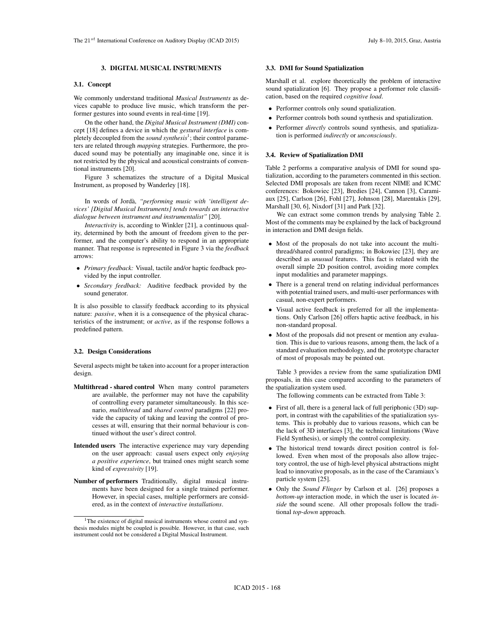### 3. DIGITAL MUSICAL INSTRUMENTS

### 3.1. Concept

We commonly understand traditional *Musical Instruments* as devices capable to produce live music, which transform the performer gestures into sound events in real-time [19].

On the other hand, the *Digital Musical Instrument (DMI)* concept [18] defines a device in which the *gestural interface* is completely decoupled from the *sound synthesis*<sup>1</sup>; their control parameters are related through *mapping* strategies. Furthermore, the produced sound may be potentially any imaginable one, since it is not restricted by the physical and acoustical constraints of conventional instruments [20]. **Example Conference on Auditory Universe on Auditory Universe on Auditory Display (ICAD 2015) Associates the mean of the state of the state of the state of the state of the state of the state of the state of the state of** 

Figure 3 schematizes the structure of a Digital Musical Instrument, as proposed by Wanderley [18].

In words of Jorda,` *"performing music with 'intelligent devices' [Digital Musical Instruments] tends towards an interactive dialogue between instrument and instrumentalist"* [20].

*Interactivity* is, according to Winkler [21], a continuous quality, determined by both the amount of freedom given to the performer, and the computer's ability to respond in an appropriate manner. That response is represented in Figure 3 via the *feedback* arrows:

- *• Primary feedback:* Visual, tactile and/or haptic feedback provided by the input controller.
- *• Secondary feedback:* Auditive feedback provided by the sound generator.

It is also possible to classify feedback according to its physical nature: *passive*, when it is a consequence of the physical characteristics of the instrument; or *active*, as if the response follows a predefined pattern.

### 3.2. Design Considerations

Several aspects might be taken into account for a proper interaction design.

- Multithread shared control When many control parameters are available, the performer may not have the capability of controlling every parameter simultaneously. In this scenario, *multithread* and *shared control* paradigms [22] provide the capacity of taking and leaving the control of processes at will, ensuring that their normal behaviour is continued without the user's direct control.
- Intended users The interactive experience may vary depending on the user approach: casual users expect only *enjoying a positive experience*, but trained ones might search some kind of *expressivity* [19].
- Number of performers Traditionally, digital musical instruments have been designed for a single trained performer. However, in special cases, multiple performers are considered, as in the context of *interactive installations*.

### 3.3. DMI for Sound Spatialization

Marshall et al. explore theoretically the problem of interactive sound spatialization [6]. They propose a performer role classification, based on the required *cognitive load*.

- Performer controls only sound spatialization.
- *•* Performer controls both sound synthesis and spatialization.
- Performer *directly* controls sound synthesis, and spatialization is performed *indirectly* or *unconsciously*.

#### 3.4. Review of Spatialization DMI

Table 2 performs a comparative analysis of DMI for sound spatialization, according to the parameters commented in this section. Selected DMI proposals are taken from recent NIME and ICMC conferences: Bokowiec [23], Bredies [24], Cannon [3], Caramiaux [25], Carlson [26], Fohl [27], Johnson [28], Marentakis [29], Marshall [30, 6], Nixdorf [31] and Park [32].

We can extract some common trends by analysing Table 2. Most of the comments may be explained by the lack of background in interaction and DMI design fields.

- *•* Most of the proposals do not take into account the multithread/shared control paradigms; in Bokowiec [23], they are described as *unusual* features. This fact is related with the overall simple 2D position control, avoiding more complex input modalities and parameter mappings.
- *•* There is a general trend on relating individual performances with potential trained users, and multi-user performances with casual, non-expert performers.
- *•* Visual active feedback is preferred for all the implementations. Only Carlson [26] offers haptic active feedback, in his non-standard proposal.
- *•* Most of the proposals did not present or mention any evaluation. This is due to various reasons, among them, the lack of a standard evaluation methodology, and the prototype character of most of proposals may be pointed out.

Table 3 provides a review from the same spatialization DMI proposals, in this case compared according to the parameters of the spatialization system used.

The following comments can be extracted from Table 3:

- *•* First of all, there is a general lack of full periphonic (3D) support, in contrast with the capabilities of the spatialization systems. This is probably due to various reasons, which can be the lack of 3D interfaces [3], the technical limitations (Wave Field Synthesis), or simply the control complexity.
- *•* The historical trend towards direct position control is followed. Even when most of the proposals also allow trajectory control, the use of high-level physical abstractions might lead to innovative proposals, as in the case of the Caramiaux's particle system [25].
- *•* Only the *Sound Flinger* by Carlson et al. [26] proposes a *bottom-up* interaction mode, in which the user is located *inside* the sound scene. All other proposals follow the traditional *top-down* approach.

<sup>&</sup>lt;sup>1</sup>The existence of digital musical instruments whose control and synthesis modules might be coupled is possible. However, in that case, such instrument could not be considered a Digital Musical Instrument.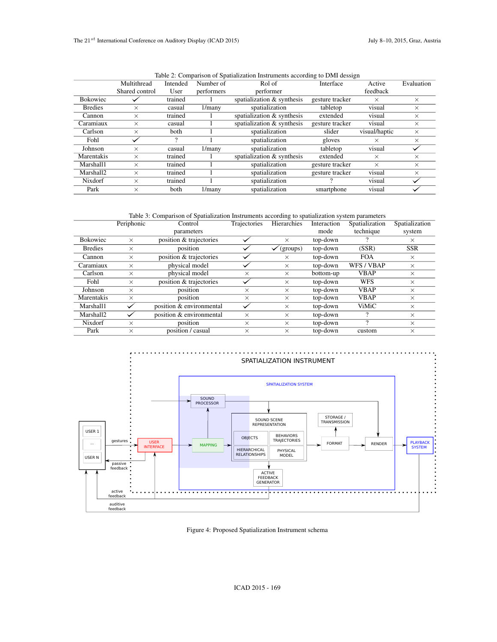|                 | Table 2. Comparison of Spananzation misutiments according to Divit dessign |          |            |                                                 |                 |               |            |
|-----------------|----------------------------------------------------------------------------|----------|------------|-------------------------------------------------|-----------------|---------------|------------|
|                 | Multithread                                                                | Intended | Number of  | Rol of                                          | Interface       | Active        | Evaluation |
|                 | Shared control                                                             | User     | performers | performer                                       |                 | feedback      |            |
| <b>Bokowiec</b> |                                                                            | trained  |            | spatialization $&$ synthesis<br>gesture tracker |                 | $\times$      | $\times$   |
| <b>Bredies</b>  | $\times$                                                                   | casual   | $1/m$ any  | spatialization                                  | tabletop        | visual        | $\times$   |
| Cannon          | $\times$                                                                   | trained  |            | spatialization $&$ synthesis                    | extended        | visual        | $\times$   |
| Caramiaux       | $\times$                                                                   | casual   |            | spatialization & synthesis                      | gesture tracker | visual        | $\times$   |
| Carlson         | $\times$                                                                   | both     |            | spatialization                                  | slider          | visual/haptic | $\times$   |
| Fohl            |                                                                            |          |            | spatialization                                  | gloves          | $\times$      | $\times$   |
| Johnson         | $\times$                                                                   | casual   | $1/m$ any  | spatialization                                  | tabletop        | visual        |            |
| Marentakis      | $\times$                                                                   | trained  |            | spatialization $&$ synthesis                    | extended        | $\times$      | $\times$   |
| Marshall1       | $\times$                                                                   | trained  |            | spatialization                                  | gesture tracker | $\times$      | $\times$   |
| Marshall2       | $\times$                                                                   | trained  |            | spatialization                                  | gesture tracker | visual        | $\times$   |
| Nixdorf         | $\times$                                                                   | trained  |            | spatialization                                  |                 | visual        |            |
| Park            | $\times$                                                                   | both     | 1/many     | spatialization                                  | smartphone      | visual        |            |
|                 |                                                                            |          |            |                                                 |                 |               |            |

Table 2: Comparison of Spatialization Instruments according to DMI dessign

Table 3: Comparison of Spatialization Instruments according to spatialization system parameters

|                 | Periphonic | Control                  | Trajectories | Hierarchies | Interaction | Spatialization | Spatialization |
|-----------------|------------|--------------------------|--------------|-------------|-------------|----------------|----------------|
|                 |            | parameters               |              |             | mode        | technique      | system         |
| <b>Bokowiec</b> | $\times$   | position & trajectories  |              | $\times$    | top-down    |                | $\times$       |
| <b>Bredies</b>  | $\times$   | position                 |              | (groups)    | top-down    | (SSR)          | <b>SSR</b>     |
| Cannon          | $\times$   | position & trajectories  |              | $\times$    | top-down    | <b>FOA</b>     | $\times$       |
| Caramiaux       | $\times$   | physical model           |              | $\times$    | top-down    | WFS / VBAP     | $\times$       |
| Carlson         | $\times$   | physical model           | $\times$     | $\times$    | bottom-up   | <b>VBAP</b>    | $\times$       |
| Fohl            | $\times$   | position & trajectories  |              | $\times$    | top-down    | <b>WFS</b>     | $\times$       |
| Johnson         | $\times$   | position                 | $\times$     | $\times$    | top-down    | <b>VBAP</b>    | $\times$       |
| Marentakis      | $\times$   | position                 | $\times$     | $\times$    | top-down    | <b>VBAP</b>    | $\times$       |
| Marshall1       |            | position & environmental |              | $\times$    | top-down    | <b>ViMiC</b>   | $\times$       |
| Marshall2       |            | position & environmental | $\times$     | $\times$    | top-down    |                | $\times$       |
| Nixdorf         | $\times$   | position                 | $\times$     | $\times$    | top-down    |                | $\times$       |
| Park            | $\times$   | position / casual        | $\times$     | $\times$    | top-down    | custom         | $\times$       |



Figure 4: Proposed Spatialization Instrument schema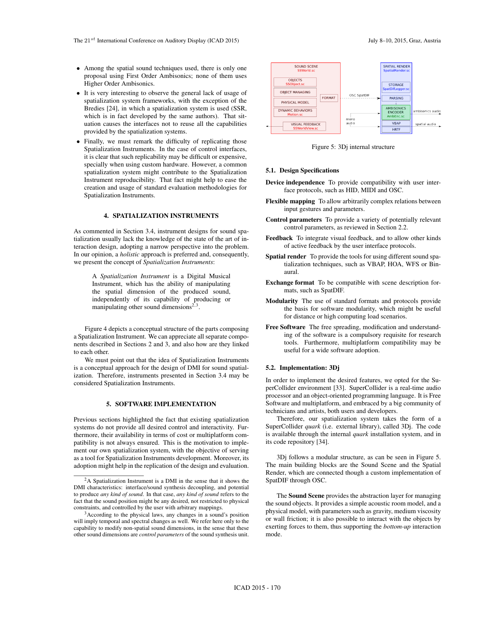- *•* Among the spatial sound techniques used, there is only one proposal using First Order Ambisonics; none of them uses Higher Order Ambisonics.
- *•* It is very interesting to observe the general lack of usage of spatialization system frameworks, with the exception of the Bredies [24], in which a spatialization system is used (SSR, which is in fact developed by the same authors). That situation causes the interfaces not to reuse all the capabilities provided by the spatialization systems.
- Finally, we must remark the difficulty of replicating those Spatialization Instruments. In the case of control interfaces, it is clear that such replicability may be difficult or expensive, specially when using custom hardware. However, a common spatialization system might contribute to the Spatialization Instrument reproducibility. That fact might help to ease the creation and usage of standard evaluation methodologies for Spatialization Instruments. <sup>4</sup> language (i.e) the state of Auditory Display ( $\mu$ ) and the state of Auditory Display ( $\mu$ ) and the state of Auditory Display ( $\mu$ ) and the state of Auditory Display ( $\mu$ ) and the state of Auditory Display ( $\mu$ ) a

### 4. SPATIALIZATION INSTRUMENTS

As commented in Section 3.4, instrument designs for sound spatialization usually lack the knowledge of the state of the art of interaction design, adopting a narrow perspective into the problem. In our opinion, a *holistic* approach is preferred and, consequently, we present the concept of *Spatialization Instruments*:

> A *Spatialization Instrument* is a Digital Musical Instrument, which has the ability of manipulating the spatial dimension of the produced sound, independently of its capability of producing or manipulating other sound dimensions $2,3$

Figure 4 depicts a conceptual structure of the parts composing a Spatialization Instrument. We can appreciate all separate components described in Sections 2 and 3, and also how are they linked to each other.

We must point out that the idea of Spatialization Instruments is a conceptual approach for the design of DMI for sound spatialization. Therefore, instruments presented in Section 3.4 may be considered Spatialization Instruments.

#### 5. SOFTWARE IMPLEMENTATION

Previous sections highlighted the fact that existing spatialization systems do not provide all desired control and interactivity. Furthermore, their availability in terms of cost or multiplatform compatibility is not always ensured. This is the motivation to implement our own spatialization system, with the objective of serving as a tool for Spatialization Instruments development. Moreover, its adoption might help in the replication of the design and evaluation.



Figure 5: 3Dj internal structure

#### 5.1. Design Specifications

- Device independence To provide compatibility with user interface protocols, such as HID, MIDI and OSC.
- Flexible mapping To allow arbitrarily complex relations between input gestures and parameters.
- Control parameters To provide a variety of potentially relevant control parameters, as reviewed in Section 2.2.
- Feedback To integrate visual feedback, and to allow other kinds of active feedback by the user interface protocols.
- Spatial render To provide the tools for using different sound spatialization techniques, such as VBAP, HOA, WFS or Binaural.
- Exchange format To be compatible with scene description formats, such as SpatDIF.
- Modularity The use of standard formats and protocols provide the basis for software modularity, which might be useful for distance or high computing load scenarios.
- Free Software The free spreading, modification and understanding of the software is a compulsory requisite for research tools. Furthermore, multiplatform compatibility may be useful for a wide software adoption.

#### 5.2. Implementation: 3Dj

In order to implement the desired features, we opted for the SuperCollider environment [33]. SuperCollider is a real-time audio processor and an object-oriented programming language. It is Free Software and multiplatform, and embraced by a big community of technicians and artists, both users and developers.

Therefore, our spatialization system takes the form of a SuperCollider *quark* (i.e. external library), called 3Dj. The code is available through the internal *quark* installation system, and in its code repository [34].

3Dj follows a modular structure, as can be seen in Figure 5. The main building blocks are the Sound Scene and the Spatial Render, which are connected though a custom implementation of SpatDIF through OSC.

The Sound Scene provides the abstraction layer for managing the sound objects. It provides a simple acoustic room model, and a physical model, with parameters such as gravity, medium viscosity or wall friction; it is also possible to interact with the objects by exerting forces to them, thus supporting the *bottom-up* interaction mode.

ambisonics audio spatial audio

 $2A$  Spatialization Instrument is a DMI in the sense that it shows the DMI characteristics: interface/sound synthesis decoupling, and potential to produce *any kind of sound*. In that case, *any kind of sound* refers to the fact that the sound position might be any desired, not restricted to physical constraints, and controlled by the user with arbitrary mappings.

<sup>&</sup>lt;sup>3</sup>According to the physical laws, any changes in a sound's position will imply temporal and spectral changes as well. We refer here only to the capability to modify non-spatial sound dimensions, in the sense that these other sound dimensions are *control parameters* of the sound synthesis unit.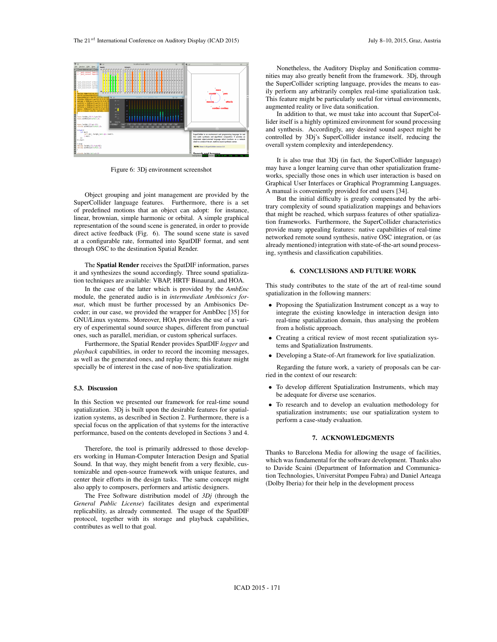

Figure 6: 3Dj environment screenshot

Object grouping and joint management are provided by the SuperCollider language features. Furthermore, there is a set of predefined motions that an object can adopt: for instance, linear, brownian, simple harmonic or orbital. A simple graphical representation of the sound scene is generated, in order to provide direct active feedback (Fig. 6). The sound scene state is saved at a configurable rate, formatted into SpatDIF format, and sent through OSC to the destination Spatial Render.

The Spatial Render receives the SpatDIF information, parses it and synthesizes the sound accordingly. Three sound spatialization techniques are available: VBAP, HRTF Binaural, and HOA.

In the case of the latter which is provided by the *AmbEnc* module, the generated audio is in *intermediate Ambisonics format*, which must be further processed by an Ambisonics Decoder; in our case, we provided the wrapper for AmbDec [35] for GNU/Linux systems. Moreover, HOA provides the use of a variery of experimental sound source shapes, different from punctual ones, such as parallel, meridian, or custom spherical surfaces.

Furthermore, the Spatial Render provides SpatDIF *logger* and *playback* capabilities, in order to record the incoming messages, as well as the generated ones, and replay them; this feature might specially be of interest in the case of non-live spatialization.

## 5.3. Discussion

In this Section we presented our framework for real-time sound spatialization. 3Dj is built upon the desirable features for spatialization systems, as described in Section 2. Furthermore, there is a special focus on the application of that systems for the interactive performance, based on the contents developed in Sections 3 and 4.

Therefore, the tool is primarily addressed to those developers working in Human-Computer Interaction Design and Spatial Sound. In that way, they might benefit from a very flexible, customizable and open-source framework with unique features, and center their efforts in the design tasks. The same concept might also apply to composers, performers and artistic designers.

The Free Software distribution model of *3Dj* (through the *General Public License*) facilitates design and experimental replicability, as already commented. The usage of the SpatDIF protocol, together with its storage and playback capabilities, contributes as well to that goal.

Nonetheless, the Auditory Display and Sonification communities may also greatly benefit from the framework. 3Dj, through the SuperCollider scripting language, provides the means to easily perform any arbitrarily complex real-time spatialization task. This feature might be particularly useful for virtual environments, augmented reality or live data sonification.

In addition to that, we must take into account that SuperCollider itself is a highly optimized environment for sound processing and synthesis. Accordingly, any desired sound aspect might be controlled by 3Dj's SuperCollider instance itself, reducing the overall system complexity and interdependency.

It is also true that 3Dj (in fact, the SuperCollider language) may have a longer learning curve than other spatialization frameworks, specially those ones in which user interaction is based on Graphical User Interfaces or Graphical Programming Languages. A manual is conveniently provided for end users [34].

But the initial difficulty is greatly compensated by the arbitrary complexity of sound spatialization mappings and behaviors that might be reached, which surpass features of other spatialization frameworks. Furthermore, the SuperCollider characteristics provide many appealing features: native capabilities of real-time networked remote sound synthesis, native OSC integration, or (as already mentioned) integration with state-of-the-art sound processing, synthesis and classification capabilities.

### 6. CONCLUSIONS AND FUTURE WORK

This study contributes to the state of the art of real-time sound spatialization in the following manners:

- *•* Proposing the Spatialization Instrument concept as a way to integrate the existing knowledge in interaction design into real-time spatialization domain, thus analysing the problem from a holistic approach.
- *•* Creating a critical review of most recent spatialization systems and Spatialization Instruments.
- *•* Developing a State-of-Art framework for live spatialization.

Regarding the future work, a variety of proposals can be carried in the context of our research:

- *•* To develop different Spatialization Instruments, which may be adequate for diverse use scenarios.
- *•* To research and to develop an evaluation methodology for spatialization instruments; use our spatialization system to perform a case-study evaluation.

#### 7. ACKNOWLEDGMENTS

Thanks to Barcelona Media for allowing the usage of facilities, which was fundamental for the software development. Thanks also to Davide Scaini (Department of Information and Communication Technologies, Universitat Pompeu Fabra) and Daniel Arteaga (Dolby Iberia) for their help in the development process